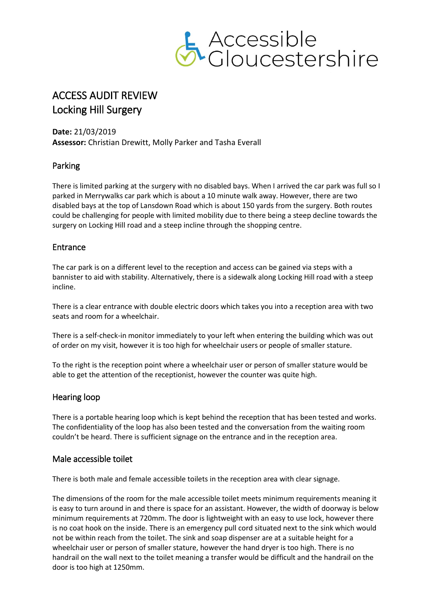

# ACCESS AUDIT REVIEW Locking Hill Surgery

**Date:** 21/03/2019 **Assessor:** Christian Drewitt, Molly Parker and Tasha Everall

# Parking

There is limited parking at the surgery with no disabled bays. When I arrived the car park was full so I parked in Merrywalks car park which is about a 10 minute walk away. However, there are two disabled bays at the top of Lansdown Road which is about 150 yards from the surgery. Both routes could be challenging for people with limited mobility due to there being a steep decline towards the surgery on Locking Hill road and a steep incline through the shopping centre.

# Entrance

The car park is on a different level to the reception and access can be gained via steps with a bannister to aid with stability. Alternatively, there is a sidewalk along Locking Hill road with a steep incline.

There is a clear entrance with double electric doors which takes you into a reception area with two seats and room for a wheelchair.

There is a self-check-in monitor immediately to your left when entering the building which was out of order on my visit, however it is too high for wheelchair users or people of smaller stature.

To the right is the reception point where a wheelchair user or person of smaller stature would be able to get the attention of the receptionist, however the counter was quite high.

# Hearing loop

There is a portable hearing loop which is kept behind the reception that has been tested and works. The confidentiality of the loop has also been tested and the conversation from the waiting room couldn't be heard. There is sufficient signage on the entrance and in the reception area.

## Male accessible toilet

There is both male and female accessible toilets in the reception area with clear signage.

The dimensions of the room for the male accessible toilet meets minimum requirements meaning it is easy to turn around in and there is space for an assistant. However, the width of doorway is below minimum requirements at 720mm. The door is lightweight with an easy to use lock, however there is no coat hook on the inside. There is an emergency pull cord situated next to the sink which would not be within reach from the toilet. The sink and soap dispenser are at a suitable height for a wheelchair user or person of smaller stature, however the hand dryer is too high. There is no handrail on the wall next to the toilet meaning a transfer would be difficult and the handrail on the door is too high at 1250mm.